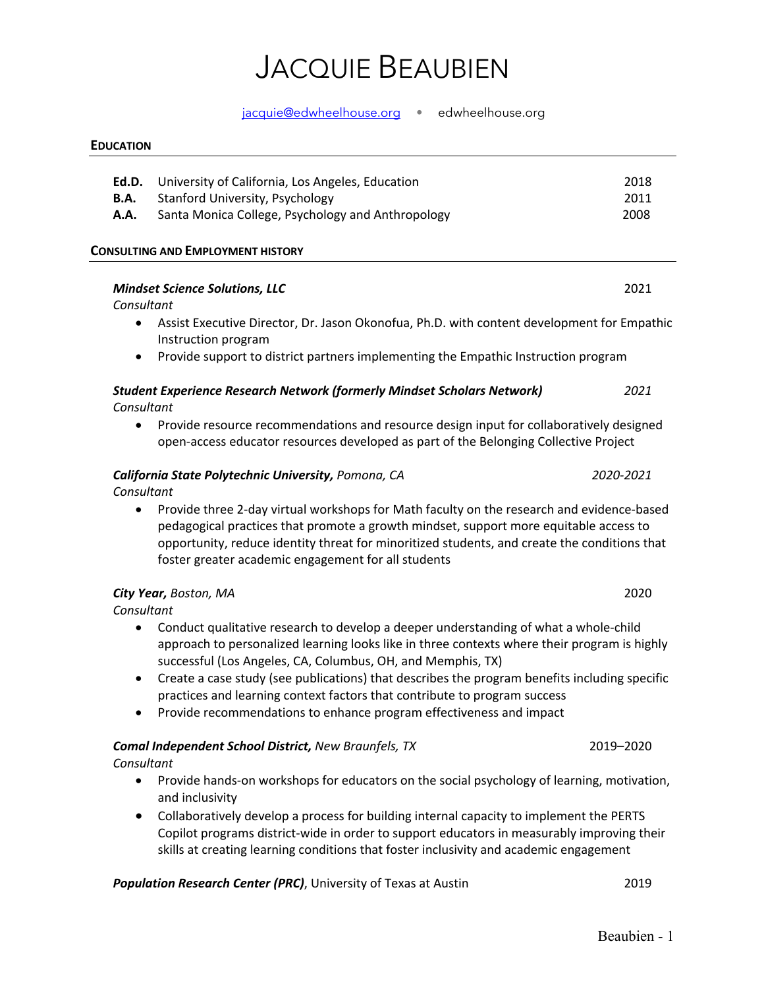#### jacquie@edwheelhouse.org • edwheelhouse.org

#### **EDUCATION**

|      | <b>Ed.D.</b> University of California, Los Angeles, Education | 2018 |
|------|---------------------------------------------------------------|------|
|      | <b>B.A.</b> Stanford University, Psychology                   | 2011 |
| A.A. | Santa Monica College, Psychology and Anthropology             | 2008 |

### **CONSULTING AND EMPLOYMENT HISTORY**

#### *Mindset Science Solutions, LLC* 2021

#### *Consultant*

- Assist Executive Director, Dr. Jason Okonofua, Ph.D. with content development for Empathic Instruction program
- Provide support to district partners implementing the Empathic Instruction program

#### *Student Experience Research Network (formerly Mindset Scholars Network) 2021 Consultant*

• Provide resource recommendations and resource design input for collaboratively designed open-access educator resources developed as part of the Belonging Collective Project

#### *California State Polytechnic University, Pomona, CA 2020-2021*

*Consultant*

• Provide three 2-day virtual workshops for Math faculty on the research and evidence-based pedagogical practices that promote a growth mindset, support more equitable access to opportunity, reduce identity threat for minoritized students, and create the conditions that foster greater academic engagement for all students

### *City Year, Boston, MA* 2020

*Consultant*

- Conduct qualitative research to develop a deeper understanding of what a whole-child approach to personalized learning looks like in three contexts where their program is highly successful (Los Angeles, CA, Columbus, OH, and Memphis, TX)
- Create a case study (see publications) that describes the program benefits including specific practices and learning context factors that contribute to program success
- Provide recommendations to enhance program effectiveness and impact

#### *Comal Independent School District, New Braunfels, TX* 2019–2020

*Consultant*

- Provide hands-on workshops for educators on the social psychology of learning, motivation, and inclusivity
- Collaboratively develop a process for building internal capacity to implement the PERTS Copilot programs district-wide in order to support educators in measurably improving their skills at creating learning conditions that foster inclusivity and academic engagement

*Population Research Center (PRC)*, University of Texas at Austin 2019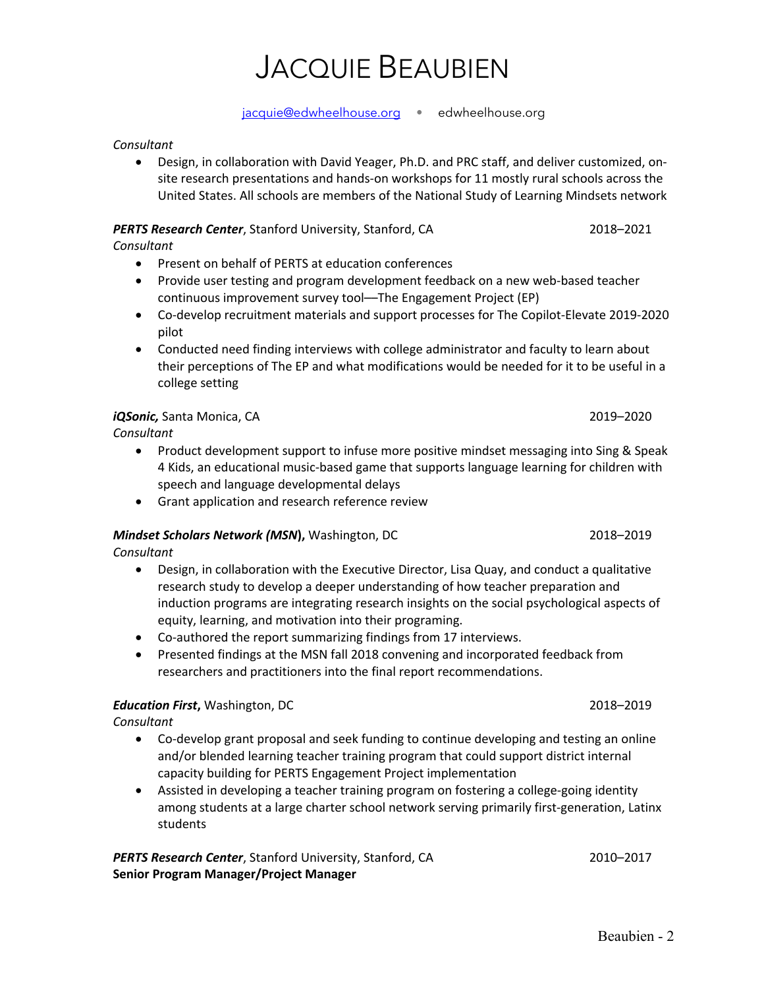#### jacquie@edwheelhouse.org • edwheelhouse.org

#### *Consultant*

• Design, in collaboration with David Yeager, Ph.D. and PRC staff, and deliver customized, onsite research presentations and hands-on workshops for 11 mostly rural schools across the United States. All schools are members of the National Study of Learning Mindsets network

#### **PERTS Research Center**, Stanford University, Stanford, CA 2018–2021

*Consultant*

- Present on behalf of PERTS at education conferences
- Provide user testing and program development feedback on a new web-based teacher continuous improvement survey tool––The Engagement Project (EP)
- Co-develop recruitment materials and support processes for The Copilot-Elevate 2019-2020 pilot
- Conducted need finding interviews with college administrator and faculty to learn about their perceptions of The EP and what modifications would be needed for it to be useful in a college setting

### *iQSonic,* Santa Monica, CA 2019–2020

*Consultant*

- Product development support to infuse more positive mindset messaging into Sing & Speak 4 Kids, an educational music-based game that supports language learning for children with speech and language developmental delays
- Grant application and research reference review

### *Mindset Scholars Network (MSN***),** Washington, DC 2018–2019

*Consultant*

- Design, in collaboration with the Executive Director, Lisa Quay, and conduct a qualitative research study to develop a deeper understanding of how teacher preparation and induction programs are integrating research insights on the social psychological aspects of equity, learning, and motivation into their programing.
- Co-authored the report summarizing findings from 17 interviews.
- Presented findings at the MSN fall 2018 convening and incorporated feedback from researchers and practitioners into the final report recommendations.

### *Education First***,** Washington, DC 2018–2019

*Consultant*

- Co-develop grant proposal and seek funding to continue developing and testing an online and/or blended learning teacher training program that could support district internal capacity building for PERTS Engagement Project implementation
- Assisted in developing a teacher training program on fostering a college-going identity among students at a large charter school network serving primarily first-generation, Latinx students

**PERTS Research Center**, Stanford University, Stanford, CA 2010-2017 **Senior Program Manager/Project Manager**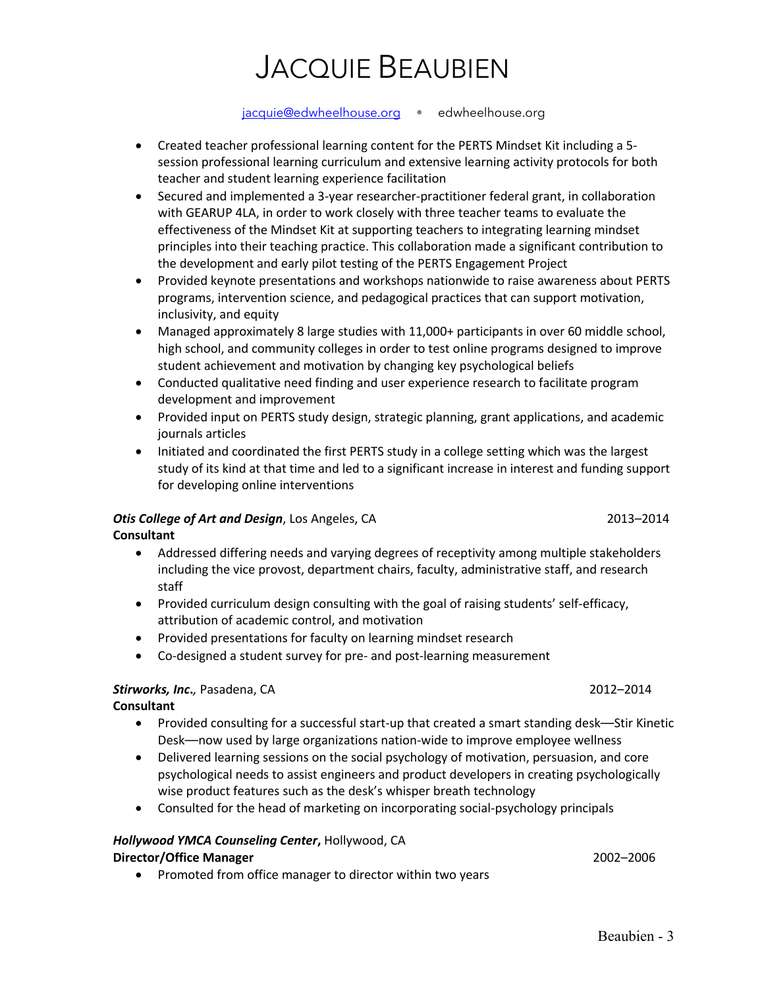jacquie@edwheelhouse.org • edwheelhouse.org

- Created teacher professional learning content for the PERTS Mindset Kit including a 5 session professional learning curriculum and extensive learning activity protocols for both teacher and student learning experience facilitation
- Secured and implemented a 3-year researcher-practitioner federal grant, in collaboration with GEARUP 4LA, in order to work closely with three teacher teams to evaluate the effectiveness of the Mindset Kit at supporting teachers to integrating learning mindset principles into their teaching practice. This collaboration made a significant contribution to the development and early pilot testing of the PERTS Engagement Project
- Provided keynote presentations and workshops nationwide to raise awareness about PERTS programs, intervention science, and pedagogical practices that can support motivation, inclusivity, and equity
- Managed approximately 8 large studies with 11,000+ participants in over 60 middle school, high school, and community colleges in order to test online programs designed to improve student achievement and motivation by changing key psychological beliefs
- Conducted qualitative need finding and user experience research to facilitate program development and improvement
- Provided input on PERTS study design, strategic planning, grant applications, and academic journals articles
- Initiated and coordinated the first PERTS study in a college setting which was the largest study of its kind at that time and led to a significant increase in interest and funding support for developing online interventions

### **Otis College of Art and Design**, Los Angeles, CA 2013-2014 **Consultant**

- Addressed differing needs and varying degrees of receptivity among multiple stakeholders including the vice provost, department chairs, faculty, administrative staff, and research staff
- Provided curriculum design consulting with the goal of raising students' self-efficacy, attribution of academic control, and motivation
- Provided presentations for faculty on learning mindset research
- Co-designed a student survey for pre- and post-learning measurement

### *Stirworks, Inc***.***,* Pasadena, CA2012–2014

**Consultant**

- Provided consulting for a successful start-up that created a smart standing desk––Stir Kinetic Desk––now used by large organizations nation-wide to improve employee wellness
- Delivered learning sessions on the social psychology of motivation, persuasion, and core psychological needs to assist engineers and product developers in creating psychologically wise product features such as the desk's whisper breath technology
- Consulted for the head of marketing on incorporating social-psychology principals

### *Hollywood YMCA Counseling Center***,** Hollywood, CA

### **Director/Office Manager** 2002–2006

• Promoted from office manager to director within two years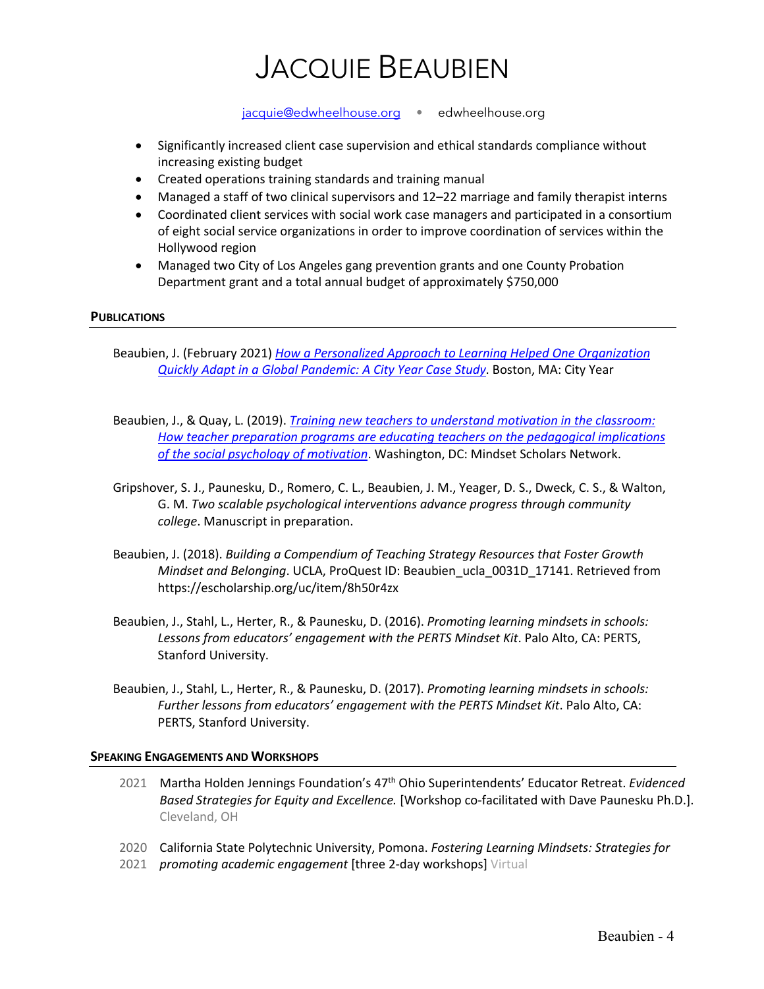jacquie@edwheelhouse.org • edwheelhouse.org

- Significantly increased client case supervision and ethical standards compliance without increasing existing budget
- Created operations training standards and training manual
- Managed a staff of two clinical supervisors and 12–22 marriage and family therapist interns
- Coordinated client services with social work case managers and participated in a consortium of eight social service organizations in order to improve coordination of services within the Hollywood region
- Managed two City of Los Angeles gang prevention grants and one County Probation Department grant and a total annual budget of approximately \$750,000

### **PUBLICATIONS**

Beaubien, J. (February 2021) *How a Personalized Approach to Learning Helped One Organization Quickly Adapt in a Global Pandemic: A City Year Case Study*. Boston, MA: City Year

- Beaubien, J., & Quay, L. (2019). *Training new teachers to understand motivation in the classroom: How teacher preparation programs are educating teachers on the pedagogical implications of the social psychology of motivation*. Washington, DC: Mindset Scholars Network.
- Gripshover, S. J., Paunesku, D., Romero, C. L., Beaubien, J. M., Yeager, D. S., Dweck, C. S., & Walton, G. M. *Two scalable psychological interventions advance progress through community college*. Manuscript in preparation.
- Beaubien, J. (2018). *Building a Compendium of Teaching Strategy Resources that Foster Growth Mindset and Belonging*. UCLA, ProQuest ID: Beaubien\_ucla\_0031D\_17141. Retrieved from https://escholarship.org/uc/item/8h50r4zx
- Beaubien, J., Stahl, L., Herter, R., & Paunesku, D. (2016). *Promoting learning mindsets in schools: Lessons from educators' engagement with the PERTS Mindset Kit*. Palo Alto, CA: PERTS, Stanford University.
- Beaubien, J., Stahl, L., Herter, R., & Paunesku, D. (2017). *Promoting learning mindsets in schools: Further lessons from educators' engagement with the PERTS Mindset Kit*. Palo Alto, CA: PERTS, Stanford University.

#### **SPEAKING ENGAGEMENTS AND WORKSHOPS**

- 2021 Martha Holden Jennings Foundation's 47th Ohio Superintendents' Educator Retreat. *Evidenced Based Strategies for Equity and Excellence.* [Workshop co-facilitated with Dave Paunesku Ph.D.]. Cleveland, OH
- 2020 California State Polytechnic University, Pomona. *Fostering Learning Mindsets: Strategies for*
- 2021 *promoting academic engagement* [three 2-day workshops] Virtual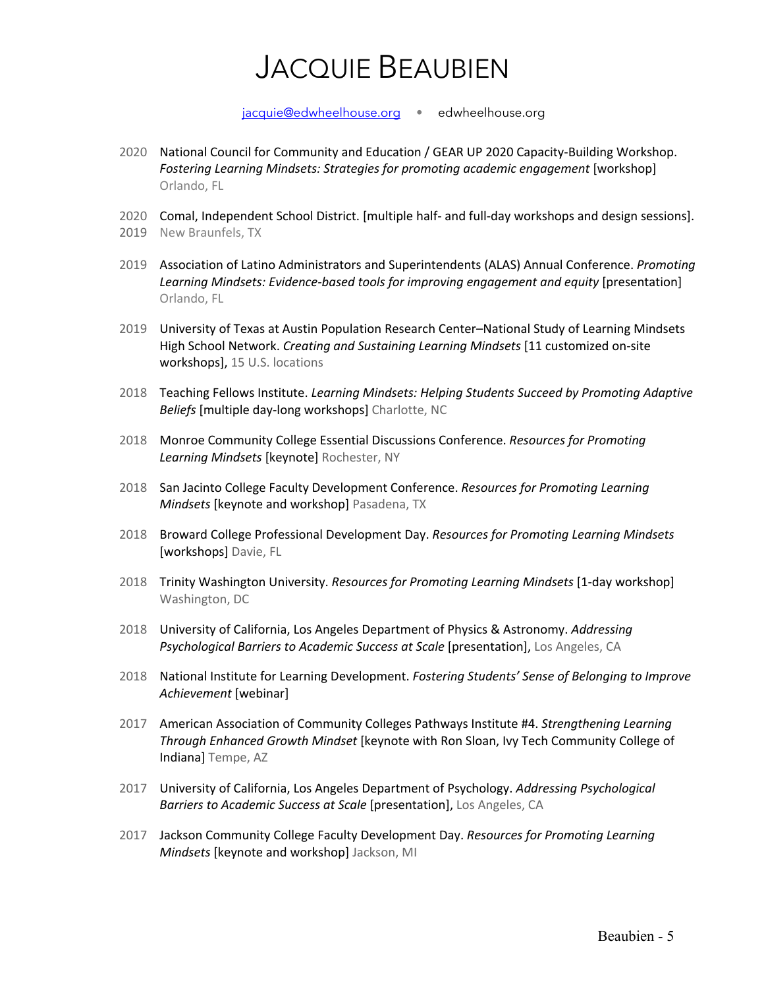jacquie@edwheelhouse.org • edwheelhouse.org

- 2020 National Council for Community and Education / GEAR UP 2020 Capacity-Building Workshop. *Fostering Learning Mindsets: Strategies for promoting academic engagement* [workshop] Orlando, FL
- 2020 Comal, Independent School District. [multiple half- and full-day workshops and design sessions].
- 2019 New Braunfels, TX
- 2019 Association of Latino Administrators and Superintendents (ALAS) Annual Conference. *Promoting Learning Mindsets: Evidence-based tools for improving engagement and equity* [presentation] Orlando, FL
- 2019 University of Texas at Austin Population Research Center–National Study of Learning Mindsets High School Network. *Creating and Sustaining Learning Mindsets* [11 customized on-site workshops], 15 U.S. locations
- 2018 Teaching Fellows Institute. *Learning Mindsets: Helping Students Succeed by Promoting Adaptive Beliefs* [multiple day-long workshops] Charlotte, NC
- 2018 Monroe Community College Essential Discussions Conference. *Resources for Promoting Learning Mindsets* [keynote] Rochester, NY
- 2018 San Jacinto College Faculty Development Conference. *Resources for Promoting Learning Mindsets* [keynote and workshop] Pasadena, TX
- 2018 Broward College Professional Development Day. *Resources for Promoting Learning Mindsets* [workshops] Davie, FL
- 2018 Trinity Washington University. *Resources for Promoting Learning Mindsets* [1-day workshop] Washington, DC
- 2018 University of California, Los Angeles Department of Physics & Astronomy. *Addressing Psychological Barriers to Academic Success at Scale* [presentation], Los Angeles, CA
- 2018 National Institute for Learning Development. *Fostering Students' Sense of Belonging to Improve Achievement* [webinar]
- 2017 American Association of Community Colleges Pathways Institute #4. *Strengthening Learning Through Enhanced Growth Mindset* [keynote with Ron Sloan, Ivy Tech Community College of Indiana] Tempe, AZ
- 2017 University of California, Los Angeles Department of Psychology. *Addressing Psychological Barriers to Academic Success at Scale* [presentation], Los Angeles, CA
- 2017 Jackson Community College Faculty Development Day. *Resources for Promoting Learning Mindsets* [keynote and workshop] Jackson, MI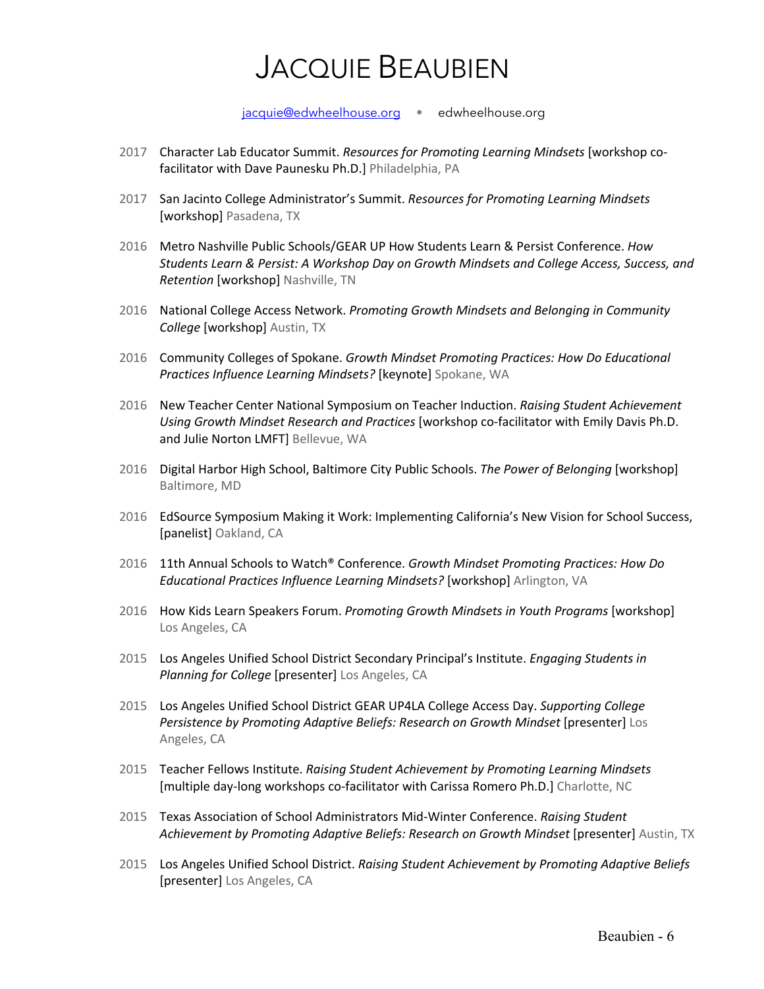jacquie@edwheelhouse.org • edwheelhouse.org

- 2017 Character Lab Educator Summit. *Resources for Promoting Learning Mindsets* [workshop cofacilitator with Dave Paunesku Ph.D.] Philadelphia, PA
- 2017 San Jacinto College Administrator's Summit. *Resources for Promoting Learning Mindsets* [workshop] Pasadena, TX
- 2016 Metro Nashville Public Schools/GEAR UP How Students Learn & Persist Conference. *How Students Learn & Persist: A Workshop Day on Growth Mindsets and College Access, Success, and Retention* [workshop] Nashville, TN
- 2016 National College Access Network. *Promoting Growth Mindsets and Belonging in Community College* [workshop] Austin, TX
- 2016 Community Colleges of Spokane. *Growth Mindset Promoting Practices: How Do Educational Practices Influence Learning Mindsets?* [keynote] Spokane, WA
- 2016 New Teacher Center National Symposium on Teacher Induction. *Raising Student Achievement Using Growth Mindset Research and Practices* [workshop co-facilitator with Emily Davis Ph.D. and Julie Norton LMFT] Bellevue, WA
- 2016 Digital Harbor High School, Baltimore City Public Schools. *The Power of Belonging* [workshop] Baltimore, MD
- 2016 EdSource Symposium Making it Work: Implementing California's New Vision for School Success, [panelist] Oakland, CA
- 2016 11th Annual Schools to Watch® Conference. *Growth Mindset Promoting Practices: How Do Educational Practices Influence Learning Mindsets?* [workshop] Arlington, VA
- 2016 How Kids Learn Speakers Forum. *Promoting Growth Mindsets in Youth Programs* [workshop] Los Angeles, CA
- 2015 Los Angeles Unified School District Secondary Principal's Institute. *Engaging Students in Planning for College* [presenter] Los Angeles, CA
- 2015 Los Angeles Unified School District GEAR UP4LA College Access Day. *Supporting College*  Persistence by Promoting Adaptive Beliefs: Research on Growth Mindset [presenter] Los Angeles, CA
- 2015 Teacher Fellows Institute. *Raising Student Achievement by Promoting Learning Mindsets* [multiple day-long workshops co-facilitator with Carissa Romero Ph.D.] Charlotte, NC
- 2015 Texas Association of School Administrators Mid-Winter Conference. *Raising Student Achievement by Promoting Adaptive Beliefs: Research on Growth Mindset* [presenter] Austin, TX
- 2015 Los Angeles Unified School District. *Raising Student Achievement by Promoting Adaptive Beliefs* [presenter] Los Angeles, CA